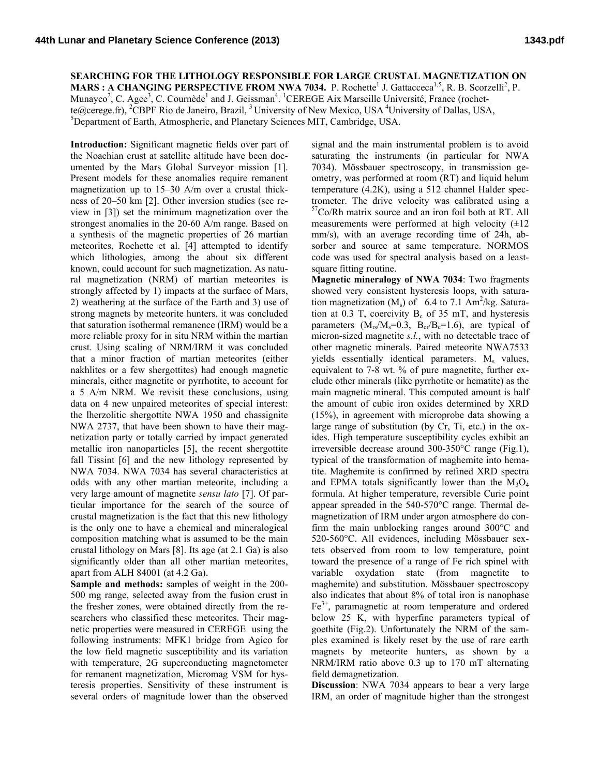**SEARCHING FOR THE LITHOLOGY RESPONSIBLE FOR LARGE CRUSTAL MAGNETIZATION ON** 

**MARS : A CHANGING PERSPECTIVE FROM NWA 7034.** P. Rochette<sup>1</sup> J. Gattacceca<sup>1,5</sup>, R. B. Scorzelli<sup>2</sup>, P. Munayco<sup>2</sup>, C. Agee<sup>3</sup>, C. Cournède<sup>1</sup> and J. Geissman<sup>4</sup>. <sup>1</sup>CEREGE Aix Marseille Université, France (rochette@cerege.fr), <sup>2</sup>CBPF Rio de Janeiro, Brazil, <sup>3</sup> University of New Mexico, USA <sup>4</sup> University of Dallas, USA, Department of Earth, Atmospheric, and Planetary Sciences MIT, Cambridge, USA.

**Introduction:** Significant magnetic fields over part of the Noachian crust at satellite altitude have been documented by the Mars Global Surveyor mission [1]. Present models for these anomalies require remanent magnetization up to 15–30 A/m over a crustal thickness of 20–50 km [2]. Other inversion studies (see review in [3]) set the minimum magnetization over the strongest anomalies in the 20-60 A/m range. Based on a synthesis of the magnetic properties of 26 martian meteorites, Rochette et al. [4] attempted to identify which lithologies, among the about six different known, could account for such magnetization. As natural magnetization (NRM) of martian meteorites is strongly affected by 1) impacts at the surface of Mars, 2) weathering at the surface of the Earth and 3) use of strong magnets by meteorite hunters, it was concluded that saturation isothermal remanence (IRM) would be a more reliable proxy for in situ NRM within the martian crust. Using scaling of NRM/IRM it was concluded that a minor fraction of martian meteorites (either nakhlites or a few shergottites) had enough magnetic minerals, either magnetite or pyrrhotite, to account for a 5 A/m NRM. We revisit these conclusions, using data on 4 new unpaired meteorites of special interest: the lherzolitic shergottite NWA 1950 and chassignite NWA 2737, that have been shown to have their magnetization party or totally carried by impact generated metallic iron nanoparticles [5], the recent shergottite fall Tissint [6] and the new lithology represented by NWA 7034. NWA 7034 has several characteristics at odds with any other martian meteorite, including a very large amount of magnetite *sensu lato* [7]. Of particular importance for the search of the source of crustal magnetization is the fact that this new lithology is the only one to have a chemical and mineralogical composition matching what is assumed to be the main crustal lithology on Mars [8]. Its age (at 2.1 Ga) is also significantly older than all other martian meteorites, apart from ALH 84001 (at 4.2 Ga).

**Sample and methods:** samples of weight in the 200- 500 mg range, selected away from the fusion crust in the fresher zones, were obtained directly from the researchers who classified these meteorites. Their magnetic properties were measured in CEREGE using the following instruments: MFK1 bridge from Agico for the low field magnetic susceptibility and its variation with temperature, 2G superconducting magnetometer for remanent magnetization, Micromag VSM for hysteresis properties. Sensitivity of these instrument is several orders of magnitude lower than the observed

signal and the main instrumental problem is to avoid saturating the instruments (in particular for NWA 7034). Mössbauer spectroscopy, in transmission geometry, was performed at room (RT) and liquid helum temperature (4.2K), using a 512 channel Halder spectrometer. The drive velocity was calibrated using a 57Co/Rh matrix source and an iron foil both at RT. All measurements were performed at high velocity  $(\pm 12)$ mm/s), with an average recording time of 24h, absorber and source at same temperature. NORMOS code was used for spectral analysis based on a leastsquare fitting routine.

**Magnetic mineralogy of NWA 7034**: Two fragments showed very consistent hysteresis loops, with saturation magnetization  $(M_s)$  of 6.4 to 7.1 Am<sup>2</sup>/kg. Saturation at 0.3 T, coercivity  $B_c$  of 35 mT, and hysteresis parameters  $(M_{rs}/M_s=0.3, B_{cr}/B_c=1.6)$ , are typical of micron-sized magnetite *s.l.*, with no detectable trace of other magnetic minerals. Paired meteorite NWA7533 yields essentially identical parameters.  $M_s$  values, equivalent to 7-8 wt. % of pure magnetite, further exclude other minerals (like pyrrhotite or hematite) as the main magnetic mineral. This computed amount is half the amount of cubic iron oxides determined by XRD (15%), in agreement with microprobe data showing a large range of substitution (by Cr, Ti, etc.) in the oxides. High temperature susceptibility cycles exhibit an irreversible decrease around 300-350°C range (Fig.1), typical of the transformation of maghemite into hematite. Maghemite is confirmed by refined XRD spectra and EPMA totals significantly lower than the  $M_3O_4$ formula. At higher temperature, reversible Curie point appear spreaded in the 540-570°C range. Thermal demagnetization of IRM under argon atmosphere do confirm the main unblocking ranges around 300°C and 520-560°C. All evidences, including Mössbauer sextets observed from room to low temperature, point toward the presence of a range of Fe rich spinel with variable oxydation state (from magnetite to maghemite) and substitution. Mössbauer spectroscopy also indicates that about 8% of total iron is nanophase  $Fe<sup>3+</sup>$ , paramagnetic at room temperature and ordered below 25 K, with hyperfine parameters typical of goethite (Fig.2). Unfortunately the NRM of the samples examined is likely reset by the use of rare earth magnets by meteorite hunters, as shown by a NRM/IRM ratio above 0.3 up to 170 mT alternating field demagnetization.

**Discussion**: NWA 7034 appears to bear a very large IRM, an order of magnitude higher than the strongest